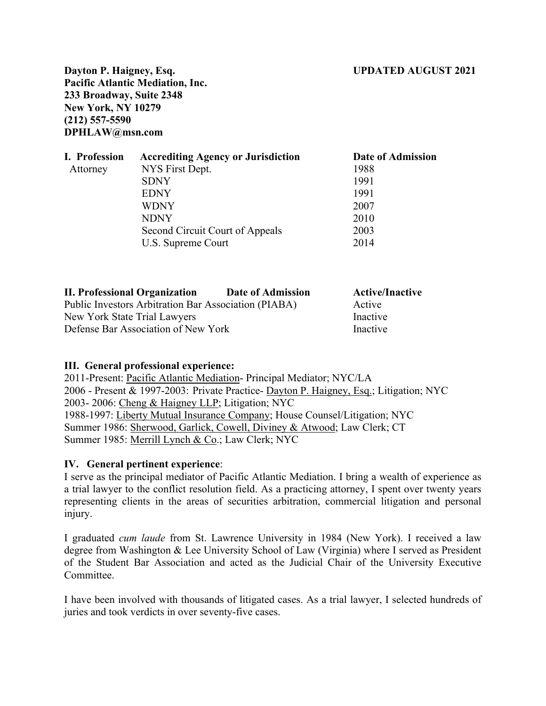### **Dayton P. Haigney, Esq. UPDATED AUGUST 2021**

**Pacific Atlantic Mediation, Inc. 233 Broadway, Suite 2348 New York, NY 10279 (212) 557-5590 DPHLAW@msn.com**

| I. Profession | <b>Accrediting Agency or Jurisdiction</b> | Date of Admission |
|---------------|-------------------------------------------|-------------------|
| Attorney      | NYS First Dept.                           | 1988              |
|               | <b>SDNY</b>                               | 1991              |
|               | <b>EDNY</b>                               | 1991              |
|               | <b>WDNY</b>                               | 2007              |
|               | <b>NDNY</b>                               | 2010              |
|               | Second Circuit Court of Appeals           | 2003              |
|               | U.S. Supreme Court                        | 2014              |

| <b>II. Professional Organization</b>                 | Date of Admission | <b>Active/Inactive</b> |
|------------------------------------------------------|-------------------|------------------------|
| Public Investors Arbitration Bar Association (PIABA) |                   | Active                 |
| New York State Trial Lawyers                         |                   | Inactive               |
| Defense Bar Association of New York                  |                   | Inactive               |

#### **III. General professional experience:**

2011-Present: Pacific Atlantic Mediation- Principal Mediator; NYC/LA 2006 - Present & 1997-2003: Private Practice- Dayton P. Haigney, Esq.; Litigation; NYC 2003- 2006: Cheng & Haigney LLP; Litigation; NYC 1988-1997: Liberty Mutual Insurance Company; House Counsel/Litigation; NYC Summer 1986: Sherwood, Garlick, Cowell, Diviney & Atwood; Law Clerk; CT Summer 1985: Merrill Lynch & Co.; Law Clerk; NYC

#### **IV. General pertinent experience**:

I serve as the principal mediator of Pacific Atlantic Mediation. I bring a wealth of experience as a trial lawyer to the conflict resolution field. As a practicing attorney, I spent over twenty years representing clients in the areas of securities arbitration, commercial litigation and personal injury.

I graduated *cum laude* from St. Lawrence University in 1984 (New York). I received a law degree from Washington & Lee University School of Law (Virginia) where I served as President of the Student Bar Association and acted as the Judicial Chair of the University Executive Committee.

I have been involved with thousands of litigated cases. As a trial lawyer, I selected hundreds of juries and took verdicts in over seventy-five cases.